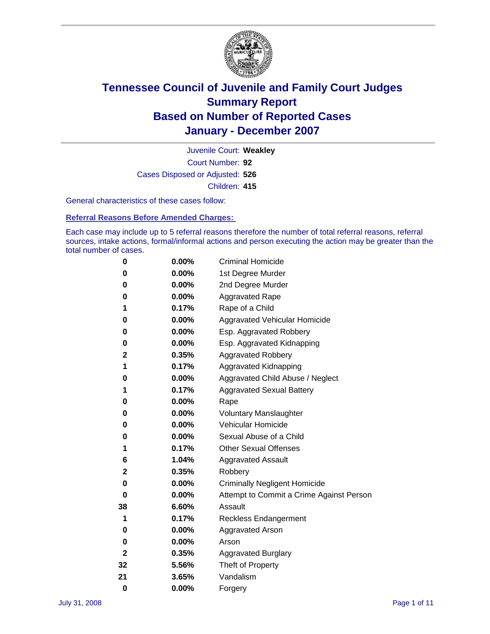

Court Number: **92** Juvenile Court: **Weakley** Cases Disposed or Adjusted: **526** Children: **415**

General characteristics of these cases follow:

**Referral Reasons Before Amended Charges:** 

Each case may include up to 5 referral reasons therefore the number of total referral reasons, referral sources, intake actions, formal/informal actions and person executing the action may be greater than the total number of cases.

| 0        | 0.00%    | <b>Criminal Homicide</b>                 |
|----------|----------|------------------------------------------|
| 0        | 0.00%    | 1st Degree Murder                        |
| 0        | 0.00%    | 2nd Degree Murder                        |
| 0        | 0.00%    | <b>Aggravated Rape</b>                   |
| 1        | 0.17%    | Rape of a Child                          |
| 0        | 0.00%    | Aggravated Vehicular Homicide            |
| 0        | 0.00%    | Esp. Aggravated Robbery                  |
| 0        | 0.00%    | Esp. Aggravated Kidnapping               |
| 2        | 0.35%    | <b>Aggravated Robbery</b>                |
| 1        | 0.17%    | Aggravated Kidnapping                    |
| 0        | 0.00%    | Aggravated Child Abuse / Neglect         |
| 1        | 0.17%    | <b>Aggravated Sexual Battery</b>         |
| 0        | 0.00%    | Rape                                     |
| 0        | 0.00%    | <b>Voluntary Manslaughter</b>            |
| 0        | 0.00%    | Vehicular Homicide                       |
| 0        | $0.00\%$ | Sexual Abuse of a Child                  |
| 1        | 0.17%    | <b>Other Sexual Offenses</b>             |
| 6        | 1.04%    | <b>Aggravated Assault</b>                |
| 2        | 0.35%    | Robbery                                  |
| 0        | $0.00\%$ | <b>Criminally Negligent Homicide</b>     |
| 0        | 0.00%    | Attempt to Commit a Crime Against Person |
| 38       | 6.60%    | Assault                                  |
| 1        | 0.17%    | <b>Reckless Endangerment</b>             |
| 0        | $0.00\%$ | <b>Aggravated Arson</b>                  |
| 0        | 0.00%    | Arson                                    |
| 2        | 0.35%    | <b>Aggravated Burglary</b>               |
| 32       | 5.56%    | Theft of Property                        |
| 21       | 3.65%    | Vandalism                                |
| $\bf{0}$ | 0.00%    | Forgery                                  |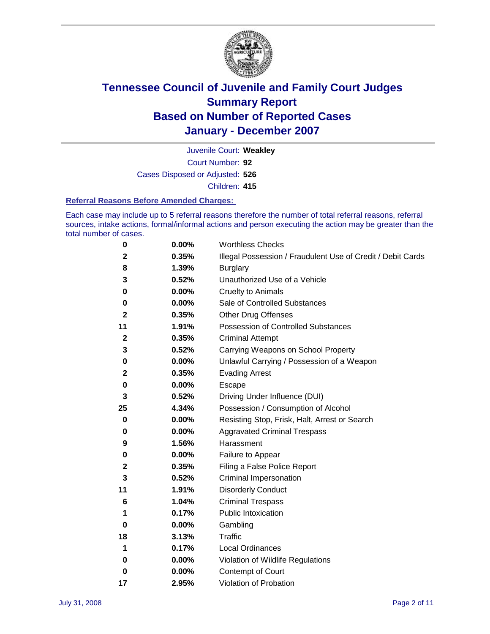

Court Number: **92** Juvenile Court: **Weakley** Cases Disposed or Adjusted: **526** Children: **415**

#### **Referral Reasons Before Amended Charges:**

Each case may include up to 5 referral reasons therefore the number of total referral reasons, referral sources, intake actions, formal/informal actions and person executing the action may be greater than the total number of cases.

| $\boldsymbol{0}$ | 0.00%    | <b>Worthless Checks</b>                                     |
|------------------|----------|-------------------------------------------------------------|
| $\mathbf{2}$     | 0.35%    | Illegal Possession / Fraudulent Use of Credit / Debit Cards |
| 8                | 1.39%    | <b>Burglary</b>                                             |
| 3                | 0.52%    | Unauthorized Use of a Vehicle                               |
| 0                | 0.00%    | <b>Cruelty to Animals</b>                                   |
| 0                | 0.00%    | Sale of Controlled Substances                               |
| 2                | 0.35%    | <b>Other Drug Offenses</b>                                  |
| 11               | 1.91%    | <b>Possession of Controlled Substances</b>                  |
| $\mathbf{2}$     | 0.35%    | <b>Criminal Attempt</b>                                     |
| 3                | 0.52%    | Carrying Weapons on School Property                         |
| 0                | 0.00%    | Unlawful Carrying / Possession of a Weapon                  |
| 2                | 0.35%    | <b>Evading Arrest</b>                                       |
| 0                | 0.00%    | Escape                                                      |
| 3                | 0.52%    | Driving Under Influence (DUI)                               |
| 25               | 4.34%    | Possession / Consumption of Alcohol                         |
| 0                | 0.00%    | Resisting Stop, Frisk, Halt, Arrest or Search               |
| 0                | 0.00%    | <b>Aggravated Criminal Trespass</b>                         |
| 9                | 1.56%    | Harassment                                                  |
| 0                | 0.00%    | Failure to Appear                                           |
| 2                | 0.35%    | Filing a False Police Report                                |
| 3                | 0.52%    | Criminal Impersonation                                      |
| 11               | 1.91%    | <b>Disorderly Conduct</b>                                   |
| 6                | 1.04%    | <b>Criminal Trespass</b>                                    |
| 1                | 0.17%    | <b>Public Intoxication</b>                                  |
| 0                | 0.00%    | Gambling                                                    |
| 18               | 3.13%    | Traffic                                                     |
| 1                | 0.17%    | Local Ordinances                                            |
| 0                | 0.00%    | Violation of Wildlife Regulations                           |
| 0                | $0.00\%$ | Contempt of Court                                           |
| 17               | 2.95%    | Violation of Probation                                      |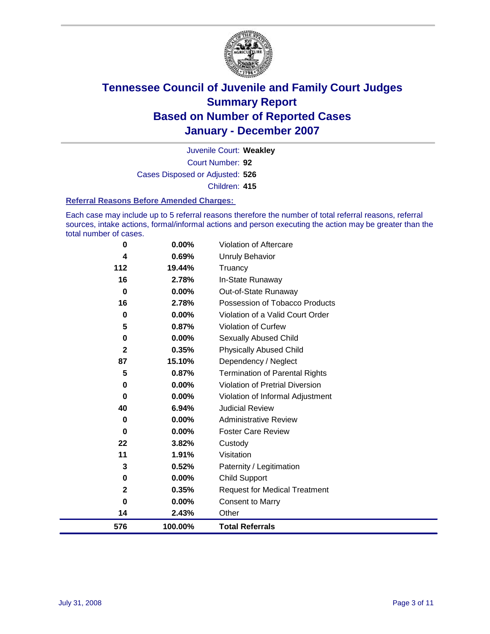

Court Number: **92** Juvenile Court: **Weakley** Cases Disposed or Adjusted: **526** Children: **415**

#### **Referral Reasons Before Amended Charges:**

Each case may include up to 5 referral reasons therefore the number of total referral reasons, referral sources, intake actions, formal/informal actions and person executing the action may be greater than the total number of cases.

| 576          | 100.00%  | <b>Total Referrals</b>                |
|--------------|----------|---------------------------------------|
| 14           | 2.43%    | Other                                 |
| 0            | 0.00%    | <b>Consent to Marry</b>               |
| $\mathbf 2$  | 0.35%    | <b>Request for Medical Treatment</b>  |
| 0            | $0.00\%$ | <b>Child Support</b>                  |
| 3            | 0.52%    | Paternity / Legitimation              |
| 11           | 1.91%    | Visitation                            |
| 22           | 3.82%    | Custody                               |
| 0            | 0.00%    | <b>Foster Care Review</b>             |
| 0            | $0.00\%$ | <b>Administrative Review</b>          |
| 40           | 6.94%    | <b>Judicial Review</b>                |
| 0            | 0.00%    | Violation of Informal Adjustment      |
| 0            | 0.00%    | Violation of Pretrial Diversion       |
| 5            | 0.87%    | <b>Termination of Parental Rights</b> |
| 87           | 15.10%   | Dependency / Neglect                  |
| $\mathbf{2}$ | 0.35%    | <b>Physically Abused Child</b>        |
| 0            | 0.00%    | <b>Sexually Abused Child</b>          |
| 5            | 0.87%    | <b>Violation of Curfew</b>            |
| $\mathbf 0$  | 0.00%    | Violation of a Valid Court Order      |
| 16           | 2.78%    | Possession of Tobacco Products        |
| $\mathbf 0$  | 0.00%    | Out-of-State Runaway                  |
| 16           | 2.78%    | In-State Runaway                      |
| 112          | 19.44%   | Truancy                               |
| 4            | 0.69%    | Unruly Behavior                       |
| 0            | 0.00%    | Violation of Aftercare                |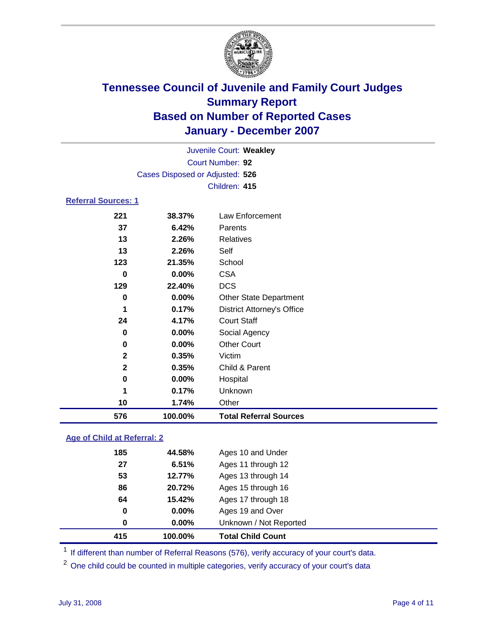

|                            |                                 | Juvenile Court: Weakley           |  |  |  |
|----------------------------|---------------------------------|-----------------------------------|--|--|--|
| Court Number: 92           |                                 |                                   |  |  |  |
|                            | Cases Disposed or Adjusted: 526 |                                   |  |  |  |
|                            |                                 | Children: 415                     |  |  |  |
| <b>Referral Sources: 1</b> |                                 |                                   |  |  |  |
| 221                        | 38.37%                          | Law Enforcement                   |  |  |  |
| 37                         | 6.42%                           | Parents                           |  |  |  |
| 13                         | 2.26%                           | <b>Relatives</b>                  |  |  |  |
| 13                         | 2.26%                           | Self                              |  |  |  |
| 123                        | 21.35%                          | School                            |  |  |  |
| $\bf{0}$                   | $0.00\%$                        | <b>CSA</b>                        |  |  |  |
| 129                        | 22.40%                          | <b>DCS</b>                        |  |  |  |
| $\bf{0}$                   | $0.00\%$                        | <b>Other State Department</b>     |  |  |  |
| 1                          | 0.17%                           | <b>District Attorney's Office</b> |  |  |  |
| 24                         | 4.17%                           | <b>Court Staff</b>                |  |  |  |
| $\bf{0}$                   | 0.00%                           | Social Agency                     |  |  |  |
| 0                          | 0.00%                           | <b>Other Court</b>                |  |  |  |
| $\mathbf 2$                | 0.35%                           | Victim                            |  |  |  |
| $\mathbf{2}$               | 0.35%                           | Child & Parent                    |  |  |  |
| 0                          | 0.00%                           | Hospital                          |  |  |  |
| 1                          | 0.17%                           | Unknown                           |  |  |  |
| 10                         | 1.74%                           | Other                             |  |  |  |
| 576                        | 100.00%                         | <b>Total Referral Sources</b>     |  |  |  |

### **Age of Child at Referral: 2**

| 415 | 100.00%    | <b>Total Child Count</b> |
|-----|------------|--------------------------|
|     | 0.00%<br>0 | Unknown / Not Reported   |
|     | 0<br>0.00% | Ages 19 and Over         |
| 64  | 15.42%     | Ages 17 through 18       |
| 86  | 20.72%     | Ages 15 through 16       |
| 53  | 12.77%     | Ages 13 through 14       |
| 27  | 6.51%      | Ages 11 through 12       |
| 185 | 44.58%     | Ages 10 and Under        |
|     |            |                          |

<sup>1</sup> If different than number of Referral Reasons (576), verify accuracy of your court's data.

One child could be counted in multiple categories, verify accuracy of your court's data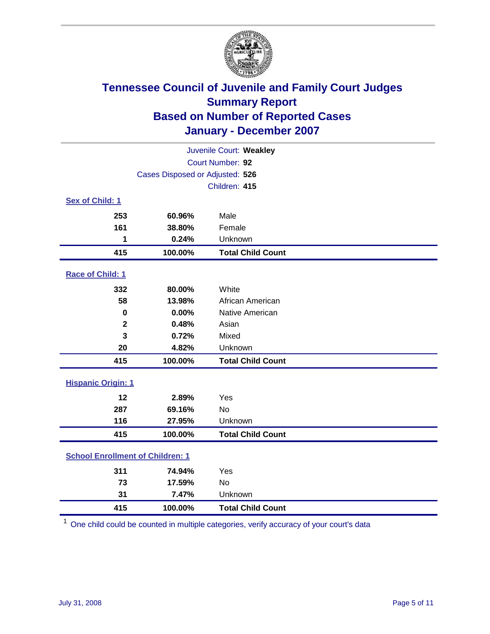

| Juvenile Court: Weakley                 |                                 |                          |  |  |  |
|-----------------------------------------|---------------------------------|--------------------------|--|--|--|
|                                         | Court Number: 92                |                          |  |  |  |
|                                         | Cases Disposed or Adjusted: 526 |                          |  |  |  |
|                                         |                                 | Children: 415            |  |  |  |
| Sex of Child: 1                         |                                 |                          |  |  |  |
| 253                                     | 60.96%                          | Male                     |  |  |  |
| 161                                     | 38.80%                          | Female                   |  |  |  |
| 1                                       | 0.24%                           | Unknown                  |  |  |  |
| 415                                     | 100.00%                         | <b>Total Child Count</b> |  |  |  |
| Race of Child: 1                        |                                 |                          |  |  |  |
| 332                                     | 80.00%                          | White                    |  |  |  |
| 58                                      | 13.98%                          | African American         |  |  |  |
| $\bf{0}$                                | 0.00%                           | Native American          |  |  |  |
| $\mathbf{2}$                            | 0.48%                           | Asian                    |  |  |  |
| 3                                       | 0.72%                           | Mixed                    |  |  |  |
| 20                                      | 4.82%                           | Unknown                  |  |  |  |
| 415                                     | 100.00%                         | <b>Total Child Count</b> |  |  |  |
| <b>Hispanic Origin: 1</b>               |                                 |                          |  |  |  |
| 12                                      | 2.89%                           | Yes                      |  |  |  |
| 287                                     | 69.16%                          | <b>No</b>                |  |  |  |
| 116                                     | 27.95%                          | Unknown                  |  |  |  |
| 415                                     | 100.00%                         | <b>Total Child Count</b> |  |  |  |
| <b>School Enrollment of Children: 1</b> |                                 |                          |  |  |  |
| 311                                     | 74.94%                          | Yes                      |  |  |  |
| 73                                      | 17.59%                          | <b>No</b>                |  |  |  |
| 31                                      | 7.47%                           | Unknown                  |  |  |  |
| 415                                     | 100.00%                         | <b>Total Child Count</b> |  |  |  |

One child could be counted in multiple categories, verify accuracy of your court's data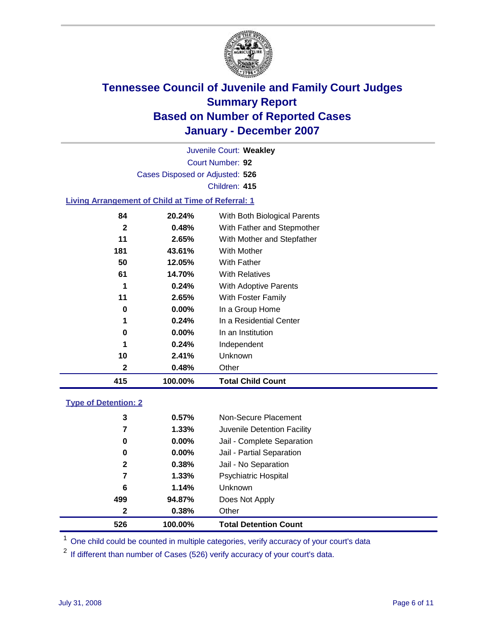

Court Number: **92** Juvenile Court: **Weakley** Cases Disposed or Adjusted: **526** Children: **415**

#### **Living Arrangement of Child at Time of Referral: 1**

| 415 | 100.00%  | <b>Total Child Count</b>     |
|-----|----------|------------------------------|
| 2   | 0.48%    | Other                        |
| 10  | 2.41%    | Unknown                      |
| 1   | 0.24%    | Independent                  |
| 0   | $0.00\%$ | In an Institution            |
| 1   | 0.24%    | In a Residential Center      |
| 0   | 0.00%    | In a Group Home              |
| 11  | 2.65%    | With Foster Family           |
| 1   | 0.24%    | <b>With Adoptive Parents</b> |
| 61  | 14.70%   | <b>With Relatives</b>        |
| 50  | 12.05%   | With Father                  |
| 181 | 43.61%   | With Mother                  |
| 11  | 2.65%    | With Mother and Stepfather   |
| 2   | 0.48%    | With Father and Stepmother   |
| 84  | 20.24%   | With Both Biological Parents |

#### **Type of Detention: 2**

| 526 | 100.00%               | <b>Total Detention Count</b> |
|-----|-----------------------|------------------------------|
|     | 0.38%<br>$\mathbf{2}$ | Other                        |
| 499 | 94.87%                | Does Not Apply               |
|     | 6<br>1.14%            | Unknown                      |
|     | 1.33%<br>7            | <b>Psychiatric Hospital</b>  |
|     | 0.38%<br>$\mathbf{2}$ | Jail - No Separation         |
|     | 0.00%<br>0            | Jail - Partial Separation    |
|     | 0.00%<br>0            | Jail - Complete Separation   |
|     | 1.33%<br>7            | Juvenile Detention Facility  |
|     | 3<br>0.57%            | Non-Secure Placement         |
|     |                       |                              |

<sup>1</sup> One child could be counted in multiple categories, verify accuracy of your court's data

<sup>2</sup> If different than number of Cases (526) verify accuracy of your court's data.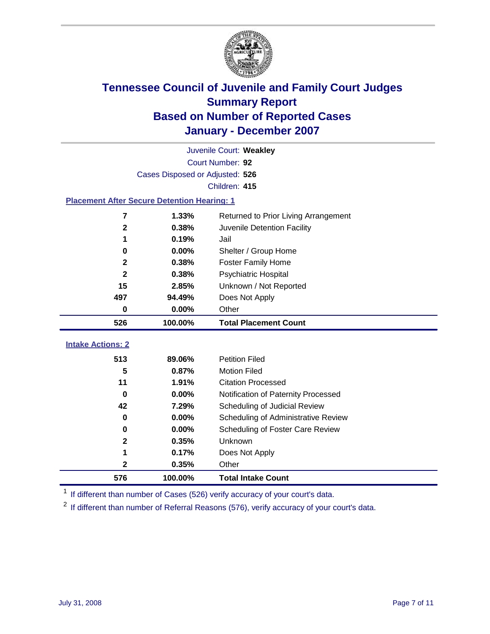

|                                                    | Juvenile Court: Weakley         |                                      |  |  |  |
|----------------------------------------------------|---------------------------------|--------------------------------------|--|--|--|
|                                                    | Court Number: 92                |                                      |  |  |  |
|                                                    | Cases Disposed or Adjusted: 526 |                                      |  |  |  |
|                                                    |                                 | Children: 415                        |  |  |  |
| <b>Placement After Secure Detention Hearing: 1</b> |                                 |                                      |  |  |  |
| $\overline{7}$                                     | 1.33%                           | Returned to Prior Living Arrangement |  |  |  |
| $\mathbf{2}$                                       | 0.38%                           | Juvenile Detention Facility          |  |  |  |
| 1                                                  | 0.19%                           | Jail                                 |  |  |  |
| 0                                                  | 0.00%                           | Shelter / Group Home                 |  |  |  |
| $\mathbf 2$                                        | 0.38%                           | <b>Foster Family Home</b>            |  |  |  |
| $\mathbf{2}$                                       | 0.38%                           | Psychiatric Hospital                 |  |  |  |
| 15                                                 | 2.85%                           | Unknown / Not Reported               |  |  |  |
| 497                                                | 94.49%                          | Does Not Apply                       |  |  |  |
| $\mathbf 0$                                        | 0.00%                           | Other                                |  |  |  |
| 526                                                | 100.00%                         | <b>Total Placement Count</b>         |  |  |  |
| <b>Intake Actions: 2</b>                           |                                 |                                      |  |  |  |
|                                                    |                                 |                                      |  |  |  |
| 513                                                | 89.06%                          | <b>Petition Filed</b>                |  |  |  |
| 5                                                  | 0.87%                           | <b>Motion Filed</b>                  |  |  |  |
| 11                                                 | 1.91%                           | <b>Citation Processed</b>            |  |  |  |
| $\bf{0}$                                           | 0.00%                           | Notification of Paternity Processed  |  |  |  |
| 42                                                 | 7.29%                           | Scheduling of Judicial Review        |  |  |  |
| $\bf{0}$                                           | 0.00%                           | Scheduling of Administrative Review  |  |  |  |
| 0                                                  | 0.00%                           | Scheduling of Foster Care Review     |  |  |  |
| $\mathbf 2$                                        | 0.35%                           | Unknown                              |  |  |  |
| 1                                                  | 0.17%                           | Does Not Apply                       |  |  |  |
| $\mathbf 2$                                        | 0.35%                           | Other                                |  |  |  |
| 576                                                | 100.00%                         | <b>Total Intake Count</b>            |  |  |  |

<sup>1</sup> If different than number of Cases (526) verify accuracy of your court's data.

<sup>2</sup> If different than number of Referral Reasons (576), verify accuracy of your court's data.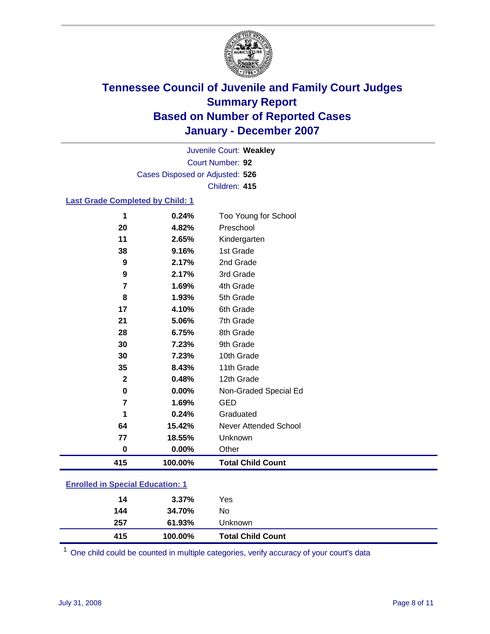

Court Number: **92** Juvenile Court: **Weakley** Cases Disposed or Adjusted: **526** Children: **415**

#### **Last Grade Completed by Child: 1**

| 415            | 100.00% | <b>Total Child Count</b> |
|----------------|---------|--------------------------|
| $\bf{0}$       | 0.00%   | Other                    |
| 77             | 18.55%  | Unknown                  |
| 64             | 15.42%  | Never Attended School    |
| 1              | 0.24%   | Graduated                |
| $\overline{7}$ | 1.69%   | <b>GED</b>               |
| $\pmb{0}$      | 0.00%   | Non-Graded Special Ed    |
| $\mathbf 2$    | 0.48%   | 12th Grade               |
| 35             | 8.43%   | 11th Grade               |
| 30             | 7.23%   | 10th Grade               |
| 30             | 7.23%   | 9th Grade                |
| 28             | 6.75%   | 8th Grade                |
| 21             | 5.06%   | 7th Grade                |
| 17             | 4.10%   | 6th Grade                |
| 8              | 1.93%   | 5th Grade                |
| 7              | 1.69%   | 4th Grade                |
| 9              | 2.17%   | 3rd Grade                |
| 9              | 2.17%   | 2nd Grade                |
| 38             | 9.16%   | 1st Grade                |
| 11             | 2.65%   | Kindergarten             |
| 20             | 4.82%   | Preschool                |
| 1              | 0.24%   | Too Young for School     |

### **Enrolled in Special Education: 1**

| 415 | 100.00%        | <b>Total Child Count</b> |
|-----|----------------|--------------------------|
| 257 | 61.93%         | Unknown                  |
| 144 | 34.70%         | No                       |
|     | $3.37\%$<br>14 | Yes                      |
|     |                |                          |

<sup>1</sup> One child could be counted in multiple categories, verify accuracy of your court's data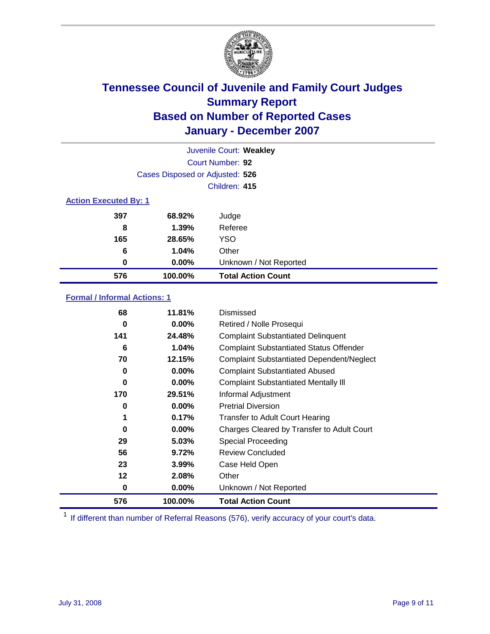

| Juvenile Court: Weakley      |                                 |                           |  |  |  |
|------------------------------|---------------------------------|---------------------------|--|--|--|
|                              | Court Number: 92                |                           |  |  |  |
|                              | Cases Disposed or Adjusted: 526 |                           |  |  |  |
|                              |                                 | Children: 415             |  |  |  |
| <b>Action Executed By: 1</b> |                                 |                           |  |  |  |
| 397                          | 68.92%                          | Judge                     |  |  |  |
| 8                            | 1.39%                           | Referee                   |  |  |  |
| 165                          | 28.65%                          | <b>YSO</b>                |  |  |  |
| 6                            | 1.04%                           | Other                     |  |  |  |
| 0                            | $0.00\%$                        | Unknown / Not Reported    |  |  |  |
| 576                          | 100.00%                         | <b>Total Action Count</b> |  |  |  |

### **Formal / Informal Actions: 1**

| 68  | 11.81%   | Dismissed                                        |
|-----|----------|--------------------------------------------------|
| 0   | 0.00%    | Retired / Nolle Prosequi                         |
| 141 | 24.48%   | <b>Complaint Substantiated Delinquent</b>        |
| 6   | 1.04%    | <b>Complaint Substantiated Status Offender</b>   |
| 70  | 12.15%   | <b>Complaint Substantiated Dependent/Neglect</b> |
| 0   | $0.00\%$ | <b>Complaint Substantiated Abused</b>            |
| 0   | $0.00\%$ | <b>Complaint Substantiated Mentally III</b>      |
| 170 | 29.51%   | Informal Adjustment                              |
| 0   | 0.00%    | <b>Pretrial Diversion</b>                        |
| 1   | 0.17%    | <b>Transfer to Adult Court Hearing</b>           |
| 0   | $0.00\%$ | Charges Cleared by Transfer to Adult Court       |
| 29  | 5.03%    | Special Proceeding                               |
| 56  | 9.72%    | <b>Review Concluded</b>                          |
| 23  | 3.99%    | Case Held Open                                   |
| 12  | 2.08%    | Other                                            |
| 0   | 0.00%    | Unknown / Not Reported                           |
| 576 | 100.00%  | <b>Total Action Count</b>                        |

<sup>1</sup> If different than number of Referral Reasons (576), verify accuracy of your court's data.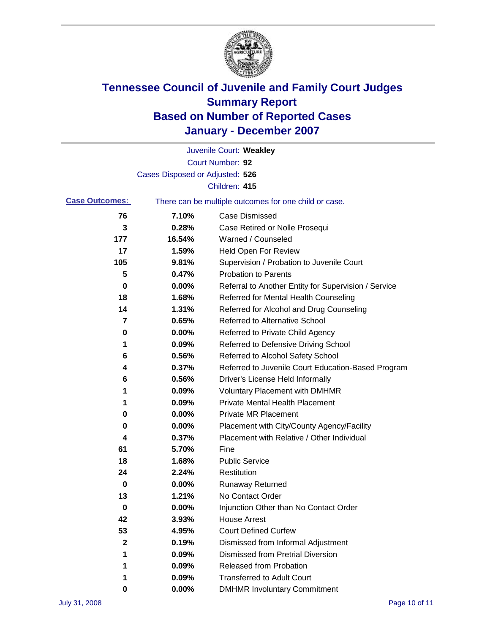

|                       |                                 | Juvenile Court: Weakley                               |
|-----------------------|---------------------------------|-------------------------------------------------------|
|                       |                                 | Court Number: 92                                      |
|                       | Cases Disposed or Adjusted: 526 |                                                       |
|                       |                                 | Children: 415                                         |
| <b>Case Outcomes:</b> |                                 | There can be multiple outcomes for one child or case. |
| 76                    | 7.10%                           | <b>Case Dismissed</b>                                 |
| 3                     | 0.28%                           | Case Retired or Nolle Prosequi                        |
| 177                   | 16.54%                          | Warned / Counseled                                    |
| 17                    | 1.59%                           | Held Open For Review                                  |
| 105                   | 9.81%                           | Supervision / Probation to Juvenile Court             |
| 5                     | 0.47%                           | <b>Probation to Parents</b>                           |
| 0                     | 0.00%                           | Referral to Another Entity for Supervision / Service  |
| 18                    | 1.68%                           | Referred for Mental Health Counseling                 |
| 14                    | 1.31%                           | Referred for Alcohol and Drug Counseling              |
| 7                     | 0.65%                           | <b>Referred to Alternative School</b>                 |
| 0                     | 0.00%                           | Referred to Private Child Agency                      |
| 1                     | 0.09%                           | Referred to Defensive Driving School                  |
| 6                     | 0.56%                           | Referred to Alcohol Safety School                     |
| 4                     | 0.37%                           | Referred to Juvenile Court Education-Based Program    |
| 6                     | 0.56%                           | Driver's License Held Informally                      |
| 1                     | 0.09%                           | <b>Voluntary Placement with DMHMR</b>                 |
| 1                     | 0.09%                           | <b>Private Mental Health Placement</b>                |
| 0                     | 0.00%                           | <b>Private MR Placement</b>                           |
| 0                     | 0.00%                           | Placement with City/County Agency/Facility            |
| 4                     | 0.37%                           | Placement with Relative / Other Individual            |
| 61                    | 5.70%                           | Fine                                                  |
| 18                    | 1.68%                           | <b>Public Service</b>                                 |
| 24                    | 2.24%                           | Restitution                                           |
| 0                     | 0.00%                           | <b>Runaway Returned</b>                               |
| 13                    | 1.21%                           | No Contact Order                                      |
| $\mathbf 0$           | 0.00%                           | Injunction Other than No Contact Order                |
| 42                    | 3.93%                           | <b>House Arrest</b>                                   |
| 53                    | 4.95%                           | <b>Court Defined Curfew</b>                           |
| 2                     | 0.19%                           | Dismissed from Informal Adjustment                    |
| 1                     | 0.09%                           | <b>Dismissed from Pretrial Diversion</b>              |
| 1                     | 0.09%                           | Released from Probation                               |
| 1                     | 0.09%                           | <b>Transferred to Adult Court</b>                     |
| 0                     | $0.00\%$                        | <b>DMHMR Involuntary Commitment</b>                   |